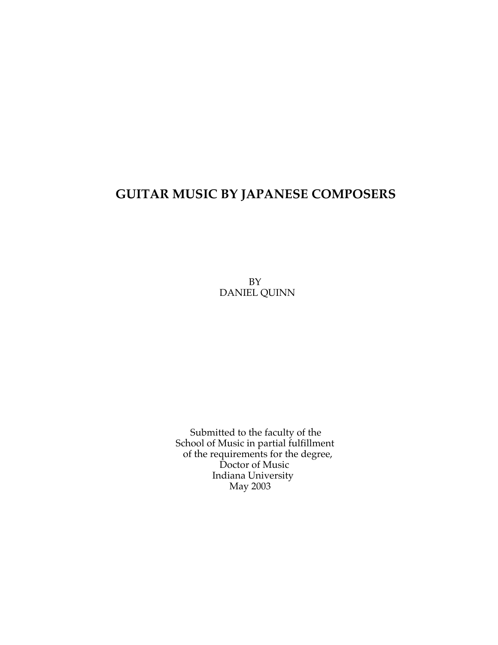## **GUITAR MUSIC BY JAPANESE COMPOSERS**

BY DANIEL QUINN

Submitted to the faculty of the School of Music in partial fulfillment of the requirements for the degree, Doctor of Music Indiana University May 2003